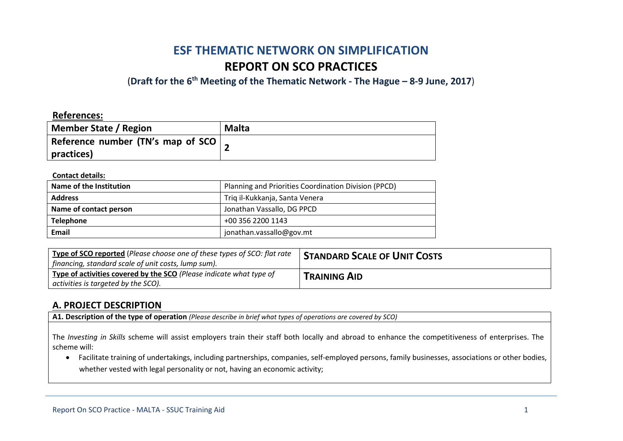# **ESF THEMATIC NETWORK ON SIMPLIFICATION REPORT ON SCO PRACTICES**

(**Draft for the 6th Meeting of the Thematic Network - The Hague – 8-9 June, 2017**)

### **References:**

| Member State / Region                                           | <b>Malta</b> |
|-----------------------------------------------------------------|--------------|
| Reference number (TN's map of SCO $\vert$ $\vert$<br>practices) |              |

#### **Contact details:**

| Name of the Institution | Planning and Priorities Coordination Division (PPCD) |  |
|-------------------------|------------------------------------------------------|--|
| <b>Address</b>          | Triq il-Kukkanja, Santa Venera                       |  |
| Name of contact person  | Jonathan Vassallo, DG PPCD                           |  |
| <b>Telephone</b>        | +00 356 2200 1143                                    |  |
| Email                   | jonathan.vassallo@gov.mt                             |  |

| Type of SCO reported (Please choose one of these types of SCO: flat rate<br>  financing, standard scale of unit costs, lump sum). | <b>STANDARD SCALE OF UNIT COSTS</b> |
|-----------------------------------------------------------------------------------------------------------------------------------|-------------------------------------|
| Type of activities covered by the SCO (Please indicate what type of<br>$\vert$ activities is targeted by the SCO).                | <b>TRAINING AID</b>                 |

### **A. PROJECT DESCRIPTION**

**A1. Description of the type of operation** *(Please describe in brief what types of operations are covered by SCO)*

The *Investing in Skills* scheme will assist employers train their staff both locally and abroad to enhance the competitiveness of enterprises. The scheme will:

 Facilitate training of undertakings, including partnerships, companies, self-employed persons, family businesses, associations or other bodies, whether vested with legal personality or not, having an economic activity: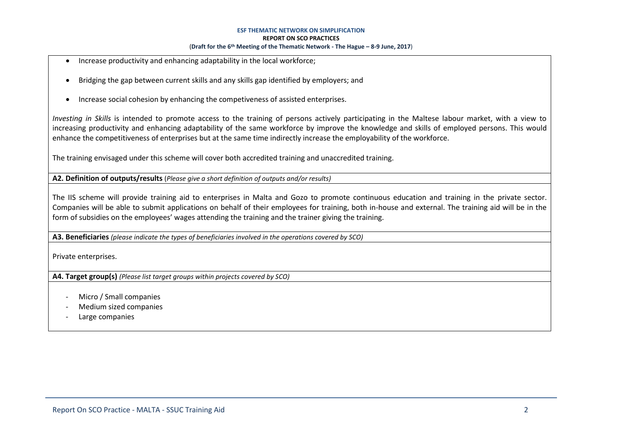- Increase productivity and enhancing adaptability in the local workforce;
- Bridging the gap between current skills and any skills gap identified by employers; and
- Increase social cohesion by enhancing the competiveness of assisted enterprises.

*Investing in Skills* is intended to promote access to the training of persons actively participating in the Maltese labour market, with a view to increasing productivity and enhancing adaptability of the same workforce by improve the knowledge and skills of employed persons. This would enhance the competitiveness of enterprises but at the same time indirectly increase the employability of the workforce.

The training envisaged under this scheme will cover both accredited training and unaccredited training.

**A2. Definition of outputs/results** (*Please give a short definition of outputs and/or results)*

The IIS scheme will provide training aid to enterprises in Malta and Gozo to promote continuous education and training in the private sector. Companies will be able to submit applications on behalf of their employees for training, both in-house and external. The training aid will be in the form of subsidies on the employees' wages attending the training and the trainer giving the training.

**A3. Beneficiaries** *(please indicate the types of beneficiaries involved in the operations covered by SCO)*

Private enterprises.

**A4. Target group(s)** *(Please list target groups within projects covered by SCO)*

- Micro / Small companies
- Medium sized companies
- Large companies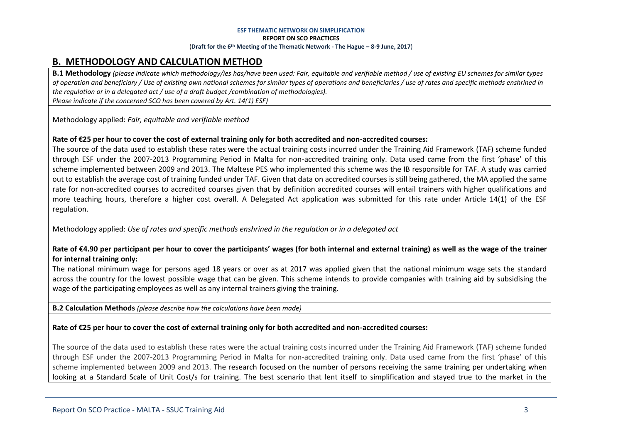## **B. METHODOLOGY AND CALCULATION METHOD**

**B.1 Methodology** *(please indicate which methodology/ies has/have been used: Fair, equitable and verifiable method / use of existing EU schemes for similar types of operation and beneficiary / Use of existing own national schemes for similar types of operations and beneficiaries / use of rates and specific methods enshrined in the regulation or in a delegated act / use of a draft budget /combination of methodologies). Please indicate if the concerned SCO has been covered by Art. 14(1) ESF)*

Methodology applied: *Fair, equitable and verifiable method*

### **Rate of €25 per hour to cover the cost of external training only for both accredited and non-accredited courses:**

The source of the data used to establish these rates were the actual training costs incurred under the Training Aid Framework (TAF) scheme funded through ESF under the 2007-2013 Programming Period in Malta for non-accredited training only. Data used came from the first 'phase' of this scheme implemented between 2009 and 2013. The Maltese PES who implemented this scheme was the IB responsible for TAF. A study was carried out to establish the average cost of training funded under TAF. Given that data on accredited courses is still being gathered, the MA applied the same rate for non-accredited courses to accredited courses given that by definition accredited courses will entail trainers with higher qualifications and more teaching hours, therefore a higher cost overall. A Delegated Act application was submitted for this rate under Article 14(1) of the ESF regulation.

Methodology applied: *Use of rates and specific methods enshrined in the regulation or in a delegated act*

### **Rate of €4.90 per participant per hour to cover the participants' wages (for both internal and external training) as well as the wage of the trainer for internal training only:**

The national minimum wage for persons aged 18 years or over as at 2017 was applied given that the national minimum wage sets the standard across the country for the lowest possible wage that can be given. This scheme intends to provide companies with training aid by subsidising the wage of the participating employees as well as any internal trainers giving the training.

**B.2 Calculation Methods** *(please describe how the calculations have been made)*

### **Rate of €25 per hour to cover the cost of external training only for both accredited and non-accredited courses:**

The source of the data used to establish these rates were the actual training costs incurred under the Training Aid Framework (TAF) scheme funded through ESF under the 2007-2013 Programming Period in Malta for non-accredited training only. Data used came from the first 'phase' of this scheme implemented between 2009 and 2013. The research focused on the number of persons receiving the same training per undertaking when looking at a Standard Scale of Unit Cost/s for training. The best scenario that lent itself to simplification and stayed true to the market in the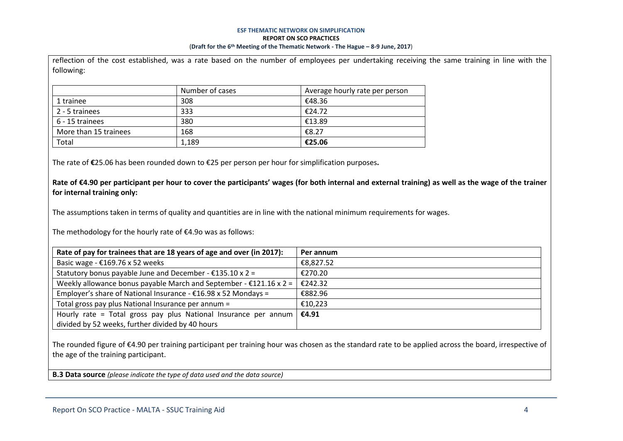reflection of the cost established, was a rate based on the number of employees per undertaking receiving the same training in line with the

| following:            |                 |                                |
|-----------------------|-----------------|--------------------------------|
|                       | Number of cases | Average hourly rate per person |
| 1 trainee             | 308             | €48.36                         |
| 2 - 5 trainees        | 333             | €24.72                         |
| 6 - 15 trainees       | 380             | €13.89                         |
| More than 15 trainees | 168             | €8.27                          |
| Total                 | 1,189           | €25.06                         |

The rate of **€**25.06 has been rounded down to €25 per person per hour for simplification purposes**.** 

**Rate of €4.90 per participant per hour to cover the participants' wages (for both internal and external training) as well as the wage of the trainer for internal training only:**

The assumptions taken in terms of quality and quantities are in line with the national minimum requirements for wages.

The methodology for the hourly rate of €4.9o was as follows:

| Rate of pay for trainees that are 18 years of age and over (in 2017):     | Per annum |
|---------------------------------------------------------------------------|-----------|
| Basic wage - $£169.76 \times 52$ weeks                                    | €8,827.52 |
| Statutory bonus payable June and December - $£135.10 \times 2 =$          | €270.20   |
| Weekly allowance bonus payable March and September - $£121.16 \times 2 =$ | €242.32   |
| Employer's share of National Insurance - $£16.98 \times 52$ Mondays =     | €882.96   |
| Total gross pay plus National Insurance per annum =                       | €10,223   |
| Hourly rate = Total gross pay plus National Insurance per annum           | €4.91     |
| divided by 52 weeks, further divided by 40 hours                          |           |

The rounded figure of €4.90 per training participant per training hour was chosen as the standard rate to be applied across the board, irrespective of the age of the training participant.

**B.3 Data source** *(please indicate the type of data used and the data source)*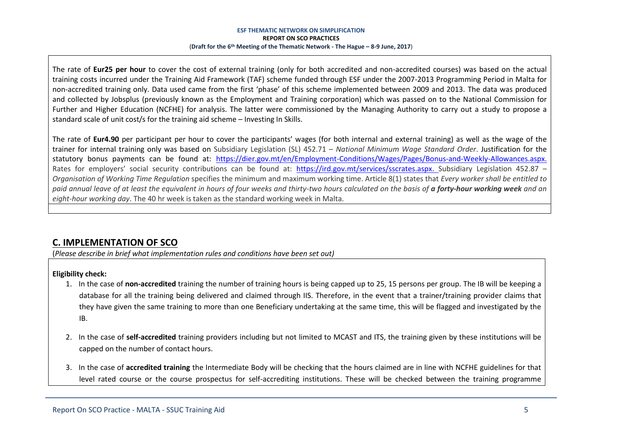The rate of **Eur25 per hour** to cover the cost of external training (only for both accredited and non-accredited courses) was based on the actual training costs incurred under the Training Aid Framework (TAF) scheme funded through ESF under the 2007-2013 Programming Period in Malta for non-accredited training only. Data used came from the first 'phase' of this scheme implemented between 2009 and 2013. The data was produced and collected by Jobsplus (previously known as the Employment and Training corporation) which was passed on to the National Commission for Further and Higher Education (NCFHE) for analysis. The latter were commissioned by the Managing Authority to carry out a study to propose a standard scale of unit cost/s for the training aid scheme – Investing In Skills.

The rate of **Eur4.90** per participant per hour to cover the participants' wages (for both internal and external training) as well as the wage of the trainer for internal training only was based on Subsidiary Legislation (SL) 452.71 – *National Minimum Wage Standard Order*. Justification for the statutory bonus payments can be found at: [https://dier.gov.mt/en/Employment-Conditions/Wages/Pages/Bonus-and-Weekly-Allowances.aspx.](https://dier.gov.mt/en/Employment-Conditions/Wages/Pages/Bonus-and-Weekly-Allowances.aspx) Rates for employers' social security contributions can be found at: [https://ird.gov.mt/services/sscrates.aspx.](https://ird.gov.mt/services/sscrates.aspx) Subsidiary Legislation 452.87 -*Organisation of Working Time Regulation* specifies the minimum and maximum working time. Article 8(1) states that *Every worker shall be entitled to paid annual leave of at least the equivalent in hours of four weeks and thirty-two hours calculated on the basis of a forty-hour working week and an eight-hour working day*. The 40 hr week is taken as the standard working week in Malta.

# **C. IMPLEMENTATION OF SCO**

(*Please describe in brief what implementation rules and conditions have been set out)*

### **Eligibility check:**

- 1. In the case of **non-accredited** training the number of training hours is being capped up to 25, 15 persons per group. The IB will be keeping a database for all the training being delivered and claimed through IIS. Therefore, in the event that a trainer/training provider claims that they have given the same training to more than one Beneficiary undertaking at the same time, this will be flagged and investigated by the IB.
- 2. In the case of **self-accredited** training providers including but not limited to MCAST and ITS, the training given by these institutions will be capped on the number of contact hours.
- 3. In the case of **accredited training** the Intermediate Body will be checking that the hours claimed are in line with NCFHE guidelines for that level rated course or the course prospectus for self-accrediting institutions. These will be checked between the training programme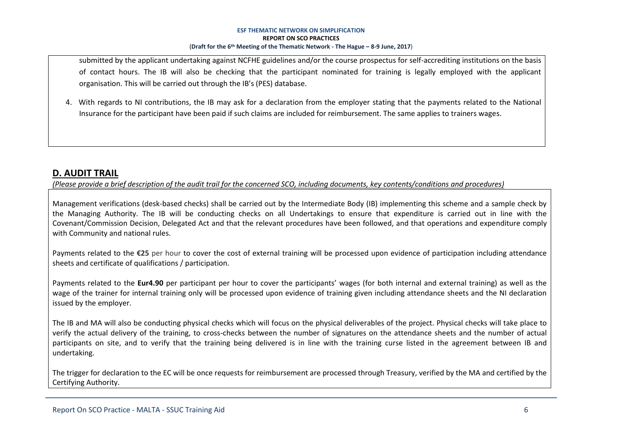submitted by the applicant undertaking against NCFHE guidelines and/or the course prospectus for self-accrediting institutions on the basis of contact hours. The IB will also be checking that the participant nominated for training is legally employed with the applicant organisation. This will be carried out through the IB's (PES) database.

4. With regards to NI contributions, the IB may ask for a declaration from the employer stating that the payments related to the National Insurance for the participant have been paid if such claims are included for reimbursement. The same applies to trainers wages.

### **D. AUDIT TRAIL**

*(Please provide a brief description of the audit trail for the concerned SCO, including documents, key contents/conditions and procedures)*

Management verifications (desk-based checks) shall be carried out by the Intermediate Body (IB) implementing this scheme and a sample check by the Managing Authority. The IB will be conducting checks on all Undertakings to ensure that expenditure is carried out in line with the Covenant/Commission Decision, Delegated Act and that the relevant procedures have been followed, and that operations and expenditure comply with Community and national rules.

Payments related to the **€25** per hour to cover the cost of external training will be processed upon evidence of participation including attendance sheets and certificate of qualifications / participation.

Payments related to the **Eur4.90** per participant per hour to cover the participants' wages (for both internal and external training) as well as the wage of the trainer for internal training only will be processed upon evidence of training given including attendance sheets and the NI declaration issued by the employer.

The IB and MA will also be conducting physical checks which will focus on the physical deliverables of the project. Physical checks will take place to verify the actual delivery of the training, to cross-checks between the number of signatures on the attendance sheets and the number of actual participants on site, and to verify that the training being delivered is in line with the training curse listed in the agreement between IB and undertaking.

The trigger for declaration to the EC will be once requests for reimbursement are processed through Treasury, verified by the MA and certified by the Certifying Authority.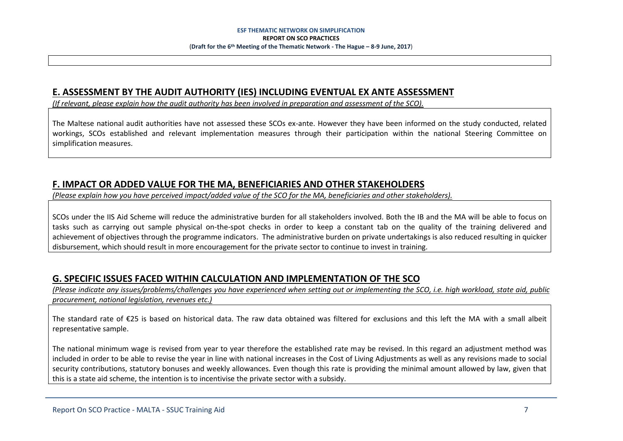### **E. ASSESSMENT BY THE AUDIT AUTHORITY (IES) INCLUDING EVENTUAL EX ANTE ASSESSMENT**

*(If relevant, please explain how the audit authority has been involved in preparation and assessment of the SCO).* 

The Maltese national audit authorities have not assessed these SCOs ex-ante. However they have been informed on the study conducted, related workings, SCOs established and relevant implementation measures through their participation within the national Steering Committee on simplification measures.

# **F. IMPACT OR ADDED VALUE FOR THE MA, BENEFICIARIES AND OTHER STAKEHOLDERS**

*(Please explain how you have perceived impact/added value of the SCO for the MA, beneficiaries and other stakeholders).* 

SCOs under the IIS Aid Scheme will reduce the administrative burden for all stakeholders involved. Both the IB and the MA will be able to focus on tasks such as carrying out sample physical on-the-spot checks in order to keep a constant tab on the quality of the training delivered and achievement of objectives through the programme indicators. The administrative burden on private undertakings is also reduced resulting in quicker disbursement, which should result in more encouragement for the private sector to continue to invest in training.

## **G. SPECIFIC ISSUES FACED WITHIN CALCULATION AND IMPLEMENTATION OF THE SCO**

*(Please indicate any issues/problems/challenges you have experienced when setting out or implementing the SCO, i.e. high workload, state aid, public procurement, national legislation, revenues etc.)*

The standard rate of €25 is based on historical data. The raw data obtained was filtered for exclusions and this left the MA with a small albeit representative sample.

The national minimum wage is revised from year to year therefore the established rate may be revised. In this regard an adjustment method was included in order to be able to revise the year in line with national increases in the Cost of Living Adjustments as well as any revisions made to social security contributions, statutory bonuses and weekly allowances. Even though this rate is providing the minimal amount allowed by law, given that this is a state aid scheme, the intention is to incentivise the private sector with a subsidy.